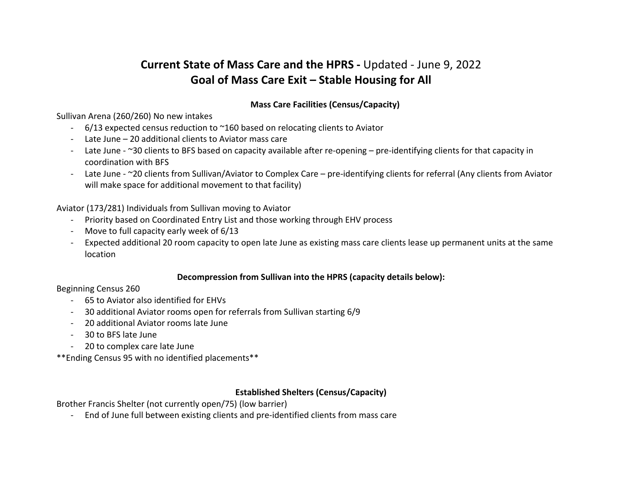# **Current State of Mass Care and the HPRS -** Updated - June 9, 2022 **Goal of Mass Care Exit – Stable Housing for All**

# **Mass Care Facilities (Census/Capacity)**

Sullivan Arena (260/260) No new intakes

- 6/13 expected census reduction to ~160 based on relocating clients to Aviator
- Late June 20 additional clients to Aviator mass care
- Late June ~30 clients to BFS based on capacity available after re-opening pre-identifying clients for that capacity in coordination with BFS
- Late June ~20 clients from Sullivan/Aviator to Complex Care pre-identifying clients for referral (Any clients from Aviator will make space for additional movement to that facility)

Aviator (173/281) Individuals from Sullivan moving to Aviator

- Priority based on Coordinated Entry List and those working through EHV process
- Move to full capacity early week of 6/13
- Expected additional 20 room capacity to open late June as existing mass care clients lease up permanent units at the same location

# **Decompression from Sullivan into the HPRS (capacity details below):**

# Beginning Census 260

- 65 to Aviator also identified for EHVs
- 30 additional Aviator rooms open for referrals from Sullivan starting 6/9
- 20 additional Aviator rooms late June
- 30 to BFS late June
- 20 to complex care late June

\*\*Ending Census 95 with no identified placements\*\*

# **Established Shelters (Census/Capacity)**

Brother Francis Shelter (not currently open/75) (low barrier)

- End of June full between existing clients and pre-identified clients from mass care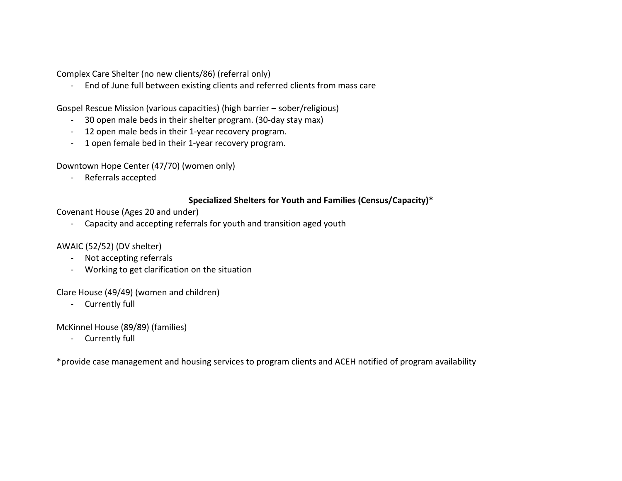Complex Care Shelter (no new clients/86) (referral only)

- End of June full between existing clients and referred clients from mass care

Gospel Rescue Mission (various capacities) (high barrier – sober/religious)

- 30 open male beds in their shelter program. (30-day stay max)
- 12 open male beds in their 1-year recovery program.
- 1 open female bed in their 1-year recovery program.

Downtown Hope Center (47/70) (women only)

- Referrals accepted

#### **Specialized Shelters for Youth and Families (Census/Capacity)\***

Covenant House (Ages 20 and under)

- Capacity and accepting referrals for youth and transition aged youth

#### AWAIC (52/52) (DV shelter)

- Not accepting referrals
- Working to get clarification on the situation

Clare House (49/49) (women and children)

- Currently full

McKinnel House (89/89) (families)

- Currently full

\*provide case management and housing services to program clients and ACEH notified of program availability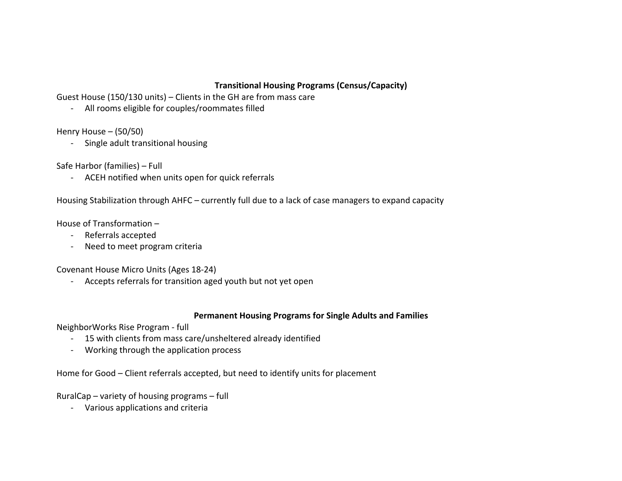# **Transitional Housing Programs (Census/Capacity)**

Guest House (150/130 units) – Clients in the GH are from mass care

- All rooms eligible for couples/roommates filled

Henry House – (50/50)

- Single adult transitional housing

Safe Harbor (families) – Full

- ACEH notified when units open for quick referrals

Housing Stabilization through AHFC – currently full due to a lack of case managers to expand capacity

House of Transformation –

- Referrals accepted
- Need to meet program criteria

Covenant House Micro Units (Ages 18-24)

- Accepts referrals for transition aged youth but not yet open

#### **Permanent Housing Programs for Single Adults and Families**

NeighborWorks Rise Program - full

- 15 with clients from mass care/unsheltered already identified
- Working through the application process

Home for Good – Client referrals accepted, but need to identify units for placement

RuralCap – variety of housing programs – full

- Various applications and criteria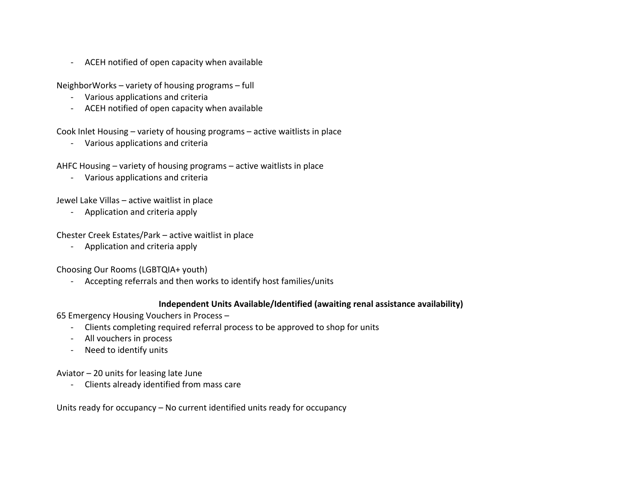- ACEH notified of open capacity when available

NeighborWorks – variety of housing programs – full

- Various applications and criteria
- ACEH notified of open capacity when available

Cook Inlet Housing – variety of housing programs – active waitlists in place

- Various applications and criteria

AHFC Housing – variety of housing programs – active waitlists in place

- Various applications and criteria

Jewel Lake Villas – active waitlist in place

- Application and criteria apply

Chester Creek Estates/Park – active waitlist in place

- Application and criteria apply

Choosing Our Rooms (LGBTQIA+ youth)

- Accepting referrals and then works to identify host families/units

# **Independent Units Available/Identified (awaiting renal assistance availability)**

65 Emergency Housing Vouchers in Process –

- Clients completing required referral process to be approved to shop for units
- All vouchers in process
- Need to identify units

Aviator – 20 units for leasing late June

- Clients already identified from mass care

Units ready for occupancy – No current identified units ready for occupancy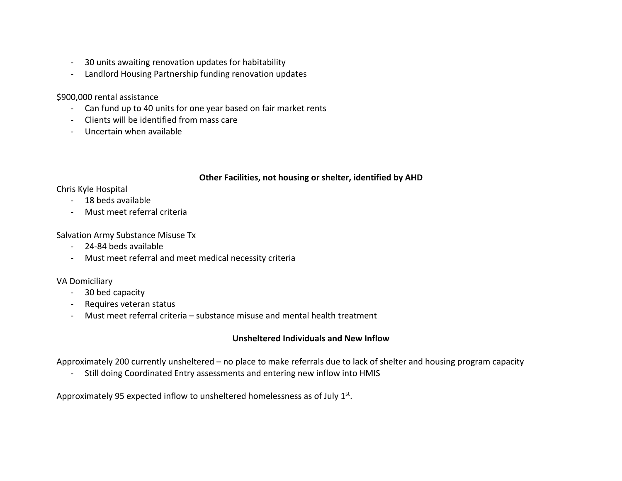- 30 units awaiting renovation updates for habitability
- Landlord Housing Partnership funding renovation updates

#### \$900,000 rental assistance

- Can fund up to 40 units for one year based on fair market rents
- Clients will be identified from mass care
- Uncertain when available

# **Other Facilities, not housing or shelter, identified by AHD**

Chris Kyle Hospital

- 18 beds available
- Must meet referral criteria

Salvation Army Substance Misuse Tx

- 24-84 beds available
- Must meet referral and meet medical necessity criteria

# VA Domiciliary

- 30 bed capacity
- Requires veteran status
- Must meet referral criteria substance misuse and mental health treatment

# **Unsheltered Individuals and New Inflow**

Approximately 200 currently unsheltered – no place to make referrals due to lack of shelter and housing program capacity

- Still doing Coordinated Entry assessments and entering new inflow into HMIS

Approximately 95 expected inflow to unsheltered homelessness as of July 1st.